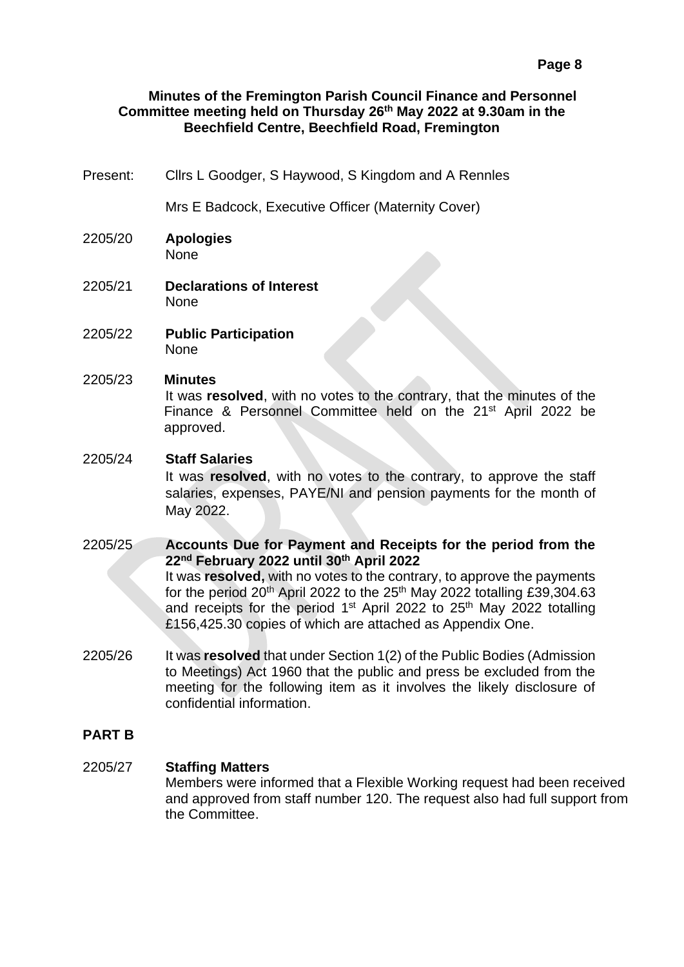## **Minutes of the Fremington Parish Council Finance and Personnel Committee meeting held on Thursday 26 th May 2022 at 9.30am in the Beechfield Centre, Beechfield Road, Fremington**

Present: Cllrs L Goodger, S Haywood, S Kingdom and A Rennles

Mrs E Badcock, Executive Officer (Maternity Cover)

- 2205/20 **Apologies** None
- 2205/21 **Declarations of Interest** None
- 2205/22 **Public Participation** None
- 2205/23 **Minutes**

It was **resolved**, with no votes to the contrary, that the minutes of the Finance & Personnel Committee held on the  $21<sup>st</sup>$  April 2022 be approved.

## 2205/24 **Staff Salaries**

It was **resolved**, with no votes to the contrary, to approve the staff salaries, expenses, PAYE/NI and pension payments for the month of May 2022.

2205/25 **Accounts Due for Payment and Receipts for the period from the 22nd February 2022 until 30th April 2022** It was **resolved,** with no votes to the contrary, to approve the payments for the period 20<sup>th</sup> April 2022 to the 25<sup>th</sup> May 2022 totalling £39,304.63 and receipts for the period  $1<sup>st</sup>$  April 2022 to 25<sup>th</sup> May 2022 totalling £156,425.30 copies of which are attached as Appendix One.

2205/26 It was **resolved** that under Section 1(2) of the Public Bodies (Admission to Meetings) Act 1960 that the public and press be excluded from the meeting for the following item as it involves the likely disclosure of confidential information.

## **PART B**

## 2205/27 **Staffing Matters**

Members were informed that a Flexible Working request had been received and approved from staff number 120. The request also had full support from the Committee.